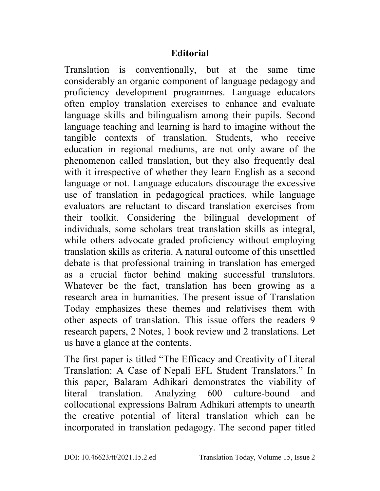## **Editorial**

Translation is conventionally, but at the same time considerably an organic component of language pedagogy and proficiency development programmes. Language educators often employ translation exercises to enhance and evaluate language skills and bilingualism among their pupils. Second language teaching and learning is hard to imagine without the tangible contexts of translation. Students, who receive education in regional mediums, are not only aware of the phenomenon called translation, but they also frequently deal with it irrespective of whether they learn English as a second language or not. Language educators discourage the excessive use of translation in pedagogical practices, while language evaluators are reluctant to discard translation exercises from their toolkit. Considering the bilingual development of individuals, some scholars treat translation skills as integral, while others advocate graded proficiency without employing translation skills as criteria. A natural outcome of this unsettled debate is that professional training in translation has emerged as a crucial factor behind making successful translators. Whatever be the fact, translation has been growing as a research area in humanities. The present issue of Translation Today emphasizes these themes and relativises them with other aspects of translation. This issue offers the readers 9 research papers, 2 Notes, 1 book review and 2 translations. Let us have a glance at the contents.

The first paper is titled "The Efficacy and Creativity of Literal Translation: A Case of Nepali EFL Student Translators." In this paper, Balaram Adhikari demonstrates the viability of literal translation. Analyzing 600 culture-bound and collocational expressions Balram Adhikari attempts to unearth the creative potential of literal translation which can be incorporated in translation pedagogy. The second paper titled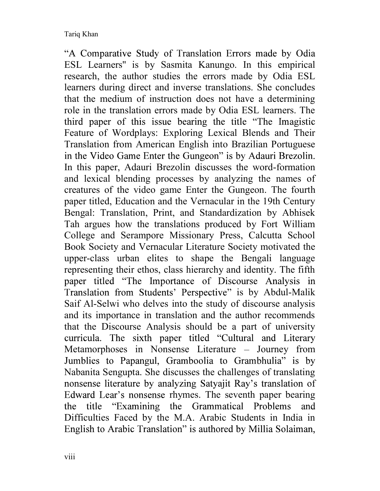"A Comparative Study of Translation Errors made by Odia ESL Learners'' is by Sasmita Kanungo. In this empirical research, the author studies the errors made by Odia ESL learners during direct and inverse translations. She concludes that the medium of instruction does not have a determining role in the translation errors made by Odia ESL learners. The third paper of this issue bearing the title "The Imagistic" Feature of Wordplays: Exploring Lexical Blends and Their Translation from American English into Brazilian Portuguese in the Video Game Enter the Gungeon" is by Adauri Brezolin. In this paper, Adauri Brezolin discusses the word-formation and lexical blending processes by analyzing the names of creatures of the video game Enter the Gungeon. The fourth paper titled, Education and the Vernacular in the 19th Century Bengal: Translation, Print, and Standardization by Abhisek Tah argues how the translations produced by Fort William College and Serampore Missionary Press, Calcutta School Book Society and Vernacular Literature Society motivated the upper-class urban elites to shape the Bengali language representing their ethos, class hierarchy and identity. The fifth paper titled "The Importance of Discourse Analysis in Translation from Students' Perspective" is by Abdul-Malik Saif Al-Selwi who delves into the study of discourse analysis and its importance in translation and the author recommends that the Discourse Analysis should be a part of university curricula. The sixth paper titled "Cultural and Literary Metamorphoses in Nonsense Literature - Journey from Jumblies to Papangul, Gramboolia to Grambhulia" is by Nabanita Sengupta. She discusses the challenges of translating nonsense literature by analyzing Satyajit Ray's translation of Edward Lear's nonsense rhymes. The seventh paper bearing the title "Examining the Grammatical Problems and Difficulties Faced by the M.A. Arabic Students in India in English to Arabic Translation" is authored by Millia Solaiman,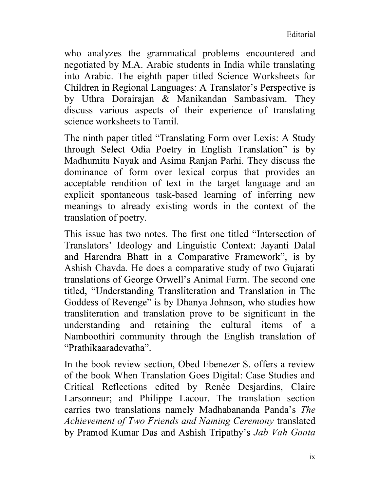who analyzes the grammatical problems encountered and negotiated by M.A. Arabic students in India while translating into Arabic. The eighth paper titled Science Worksheets for by Uthra Dorairajan & Manikandan Sambasivam. They discuss various aspects of their experience of translating science worksheets to Tamil.

The ninth paper titled "Translating Form over Lexis: A Study through Select Odia Poetry in English Translation" is by Madhumita Nayak and Asima Ranjan Parhi. They discuss the dominance of form over lexical corpus that provides an acceptable rendition of text in the target language and an explicit spontaneous task-based learning of inferring new meanings to already existing words in the context of the translation of poetry.

This issue has two notes. The first one titled "Intersection of Translators' Ideology and Linguistic Context: Jayanti Dalal and Harendra Bhatt in a Comparative Framework", is by Ashish Chavda. He does a comparative study of two Gujarati translations of George Orwell's Animal Farm. The second one titled, "Understanding Transliteration and Translation in The Goddess of Revenge" is by Dhanya Johnson, who studies how transliteration and translation prove to be significant in the understanding and retaining the cultural items of a Namboothiri community through the English translation of "Prathikaaradevatha".

In the book review section, Obed Ebenezer S. offers a review of the book When Translation Goes Digital: Case Studies and Critical Reflections edited by Renée Desjardins, Claire Larsonneur; and Philippe Lacour. The translation section carries two translations namely Madhabananda Panda's The Achievement of Two Friends and Naming Ceremony translated by Pramod Kumar Das and Ashish Tripathy's Jab Vah Gaata